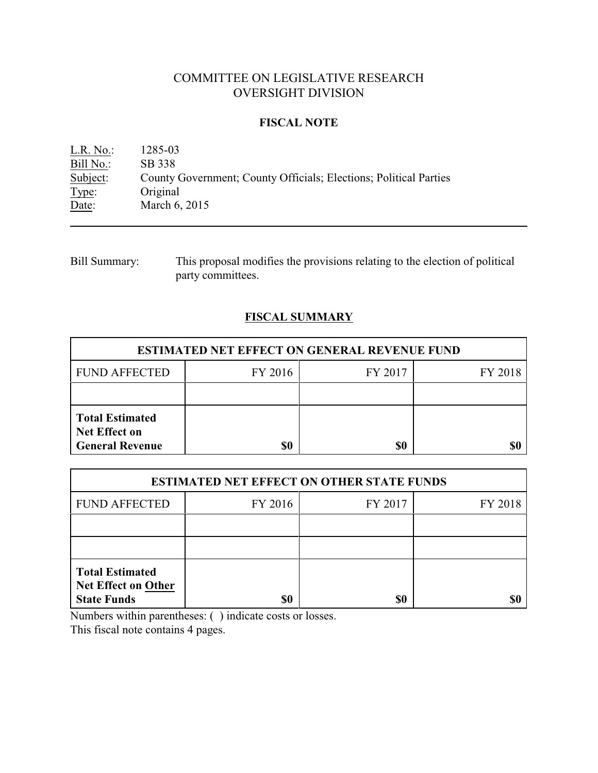# COMMITTEE ON LEGISLATIVE RESEARCH OVERSIGHT DIVISION

# **FISCAL NOTE**

L.R. No.: 1285-03 Bill No.: SB 338<br>Subject: County County Government; County Officials; Elections; Political Parties Type: Original<br>Date: March 6, March 6, 2015

Bill Summary: This proposal modifies the provisions relating to the election of political party committees.

# **FISCAL SUMMARY**

| <b>ESTIMATED NET EFFECT ON GENERAL REVENUE FUND</b>                      |         |         |         |  |
|--------------------------------------------------------------------------|---------|---------|---------|--|
| <b>FUND AFFECTED</b>                                                     | FY 2016 | FY 2017 | FY 2018 |  |
|                                                                          |         |         |         |  |
| <b>Total Estimated</b><br><b>Net Effect on</b><br><b>General Revenue</b> | \$0     | \$0     |         |  |

| <b>ESTIMATED NET EFFECT ON OTHER STATE FUNDS</b>                           |         |         |         |  |
|----------------------------------------------------------------------------|---------|---------|---------|--|
| <b>FUND AFFECTED</b>                                                       | FY 2016 | FY 2017 | FY 2018 |  |
|                                                                            |         |         |         |  |
|                                                                            |         |         |         |  |
| <b>Total Estimated</b><br><b>Net Effect on Other</b><br><b>State Funds</b> | \$0     | \$0     |         |  |

Numbers within parentheses: ( ) indicate costs or losses.

This fiscal note contains 4 pages.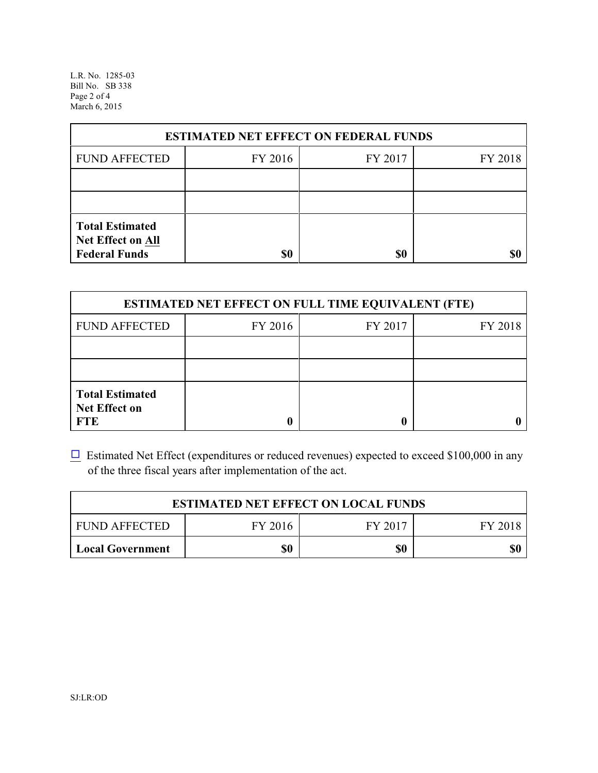L.R. No. 1285-03 Bill No. SB 338 Page 2 of 4 March 6, 2015

| <b>ESTIMATED NET EFFECT ON FEDERAL FUNDS</b>                        |         |         |         |  |
|---------------------------------------------------------------------|---------|---------|---------|--|
| <b>FUND AFFECTED</b>                                                | FY 2016 | FY 2017 | FY 2018 |  |
|                                                                     |         |         |         |  |
|                                                                     |         |         |         |  |
| <b>Total Estimated</b><br>Net Effect on All<br><b>Federal Funds</b> | \$0     | \$0     |         |  |

| <b>ESTIMATED NET EFFECT ON FULL TIME EQUIVALENT (FTE)</b>    |         |         |         |  |
|--------------------------------------------------------------|---------|---------|---------|--|
| <b>FUND AFFECTED</b>                                         | FY 2016 | FY 2017 | FY 2018 |  |
|                                                              |         |         |         |  |
|                                                              |         |         |         |  |
| <b>Total Estimated</b><br><b>Net Effect on</b><br><b>FTE</b> |         |         |         |  |

 $\Box$  Estimated Net Effect (expenditures or reduced revenues) expected to exceed \$100,000 in any of the three fiscal years after implementation of the act.

| <b>ESTIMATED NET EFFECT ON LOCAL FUNDS</b> |         |         |         |  |
|--------------------------------------------|---------|---------|---------|--|
| <b>FUND AFFECTED</b>                       | FY 2016 | FY 2017 | FY 2018 |  |
| <b>Local Government</b>                    | \$0     | \$0     | \$0     |  |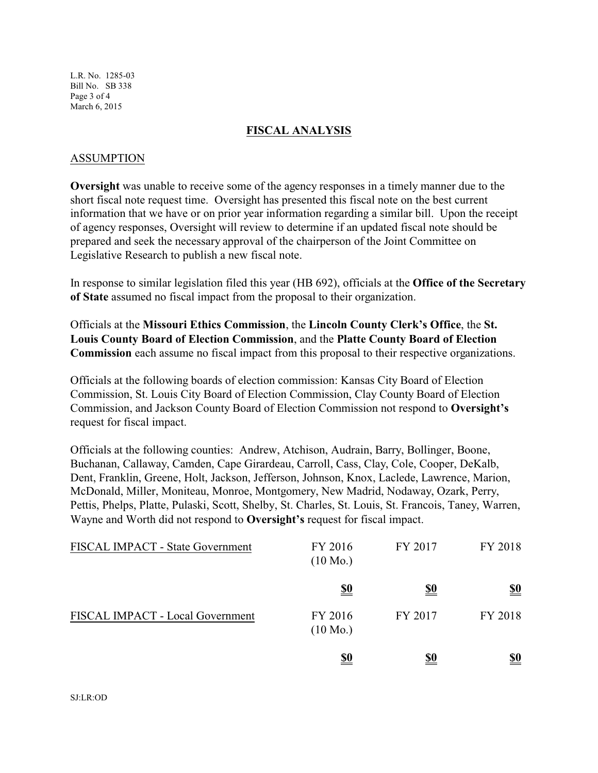L.R. No. 1285-03 Bill No. SB 338 Page 3 of 4 March 6, 2015

### **FISCAL ANALYSIS**

#### ASSUMPTION

**Oversight** was unable to receive some of the agency responses in a timely manner due to the short fiscal note request time. Oversight has presented this fiscal note on the best current information that we have or on prior year information regarding a similar bill. Upon the receipt of agency responses, Oversight will review to determine if an updated fiscal note should be prepared and seek the necessary approval of the chairperson of the Joint Committee on Legislative Research to publish a new fiscal note.

In response to similar legislation filed this year (HB 692), officials at the **Office of the Secretary of State** assumed no fiscal impact from the proposal to their organization.

Officials at the **Missouri Ethics Commission**, the **Lincoln County Clerk's Office**, the **St. Louis County Board of Election Commission**, and the **Platte County Board of Election Commission** each assume no fiscal impact from this proposal to their respective organizations.

Officials at the following boards of election commission: Kansas City Board of Election Commission, St. Louis City Board of Election Commission, Clay County Board of Election Commission, and Jackson County Board of Election Commission not respond to **Oversight's** request for fiscal impact.

Officials at the following counties: Andrew, Atchison, Audrain, Barry, Bollinger, Boone, Buchanan, Callaway, Camden, Cape Girardeau, Carroll, Cass, Clay, Cole, Cooper, DeKalb, Dent, Franklin, Greene, Holt, Jackson, Jefferson, Johnson, Knox, Laclede, Lawrence, Marion, McDonald, Miller, Moniteau, Monroe, Montgomery, New Madrid, Nodaway, Ozark, Perry, Pettis, Phelps, Platte, Pulaski, Scott, Shelby, St. Charles, St. Louis, St. Francois, Taney, Warren, Wayne and Worth did not respond to **Oversight's** request for fiscal impact.

| FISCAL IMPACT - State Government | FY 2016<br>$(10 \text{ Mo.})$ | FY 2017    | FY 2018                       |
|----------------------------------|-------------------------------|------------|-------------------------------|
|                                  | <u>\$0</u>                    | <u>\$0</u> | $\underline{\underline{\$0}}$ |
| FISCAL IMPACT - Local Government | FY 2016<br>$(10 \text{ Mo.})$ | FY 2017    | FY 2018                       |
|                                  | <u>\$0</u>                    | <u>\$0</u> | <u>\$0</u>                    |